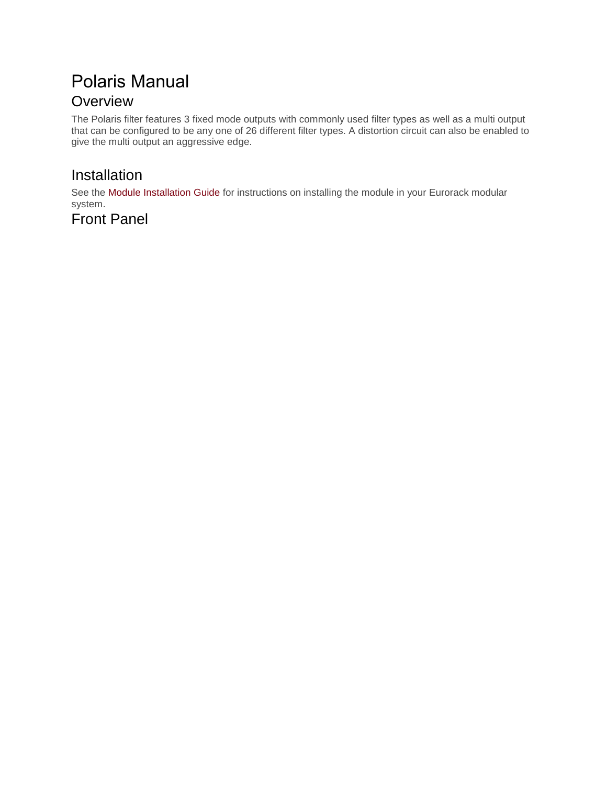# Polaris Manual **Overview**

The Polaris filter features 3 fixed mode outputs with commonly used filter types as well as a multi output that can be configured to be any one of 26 different filter types. A distortion circuit can also be enabled to give the multi output an aggressive edge.

### Installation

See the Module [Installation](https://intellijel.com/all-manuals/module-installation-guide/) Guide for instructions on installing the module in your Eurorack modular system.

### Front Panel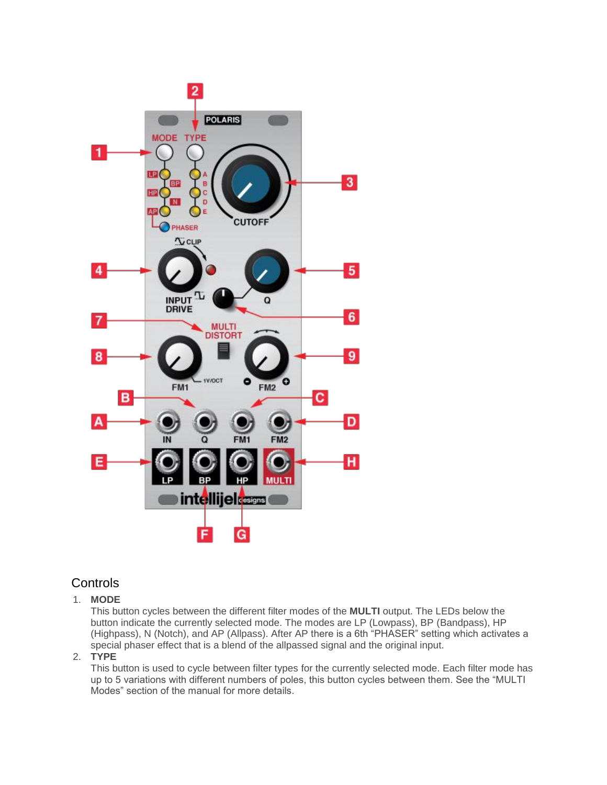

### **Controls**

#### 1. **MODE**

This button cycles between the different filter modes of the **MULTI** output. The LEDs below the button indicate the currently selected mode. The modes are LP (Lowpass), BP (Bandpass), HP (Highpass), N (Notch), and AP (Allpass). After AP there is a 6th "PHASER" setting which activates a special phaser effect that is a blend of the allpassed signal and the original input.

#### 2. **TYPE**

This button is used to cycle between filter types for the currently selected mode. Each filter mode has up to 5 variations with different numbers of poles, this button cycles between them. See the "MULTI Modes" section of the manual for more details.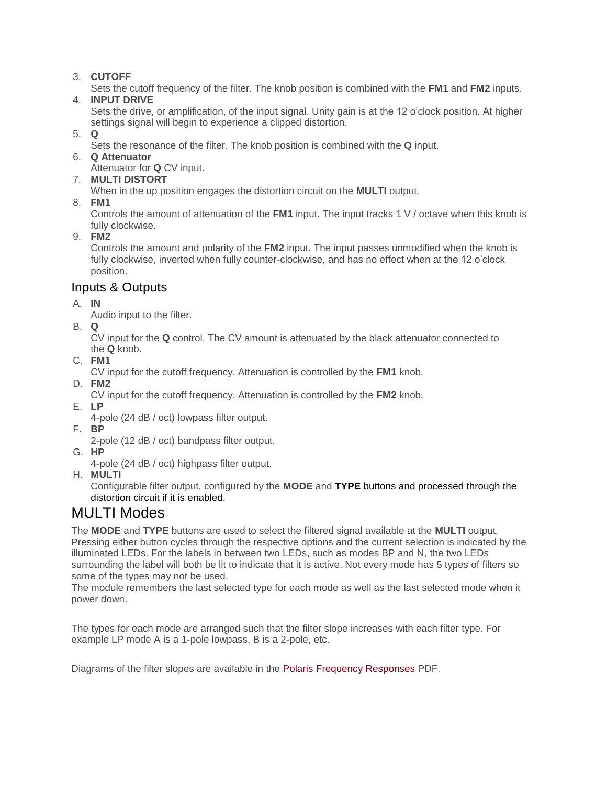#### 3. **CUTOFF**

Sets the cutoff frequency of the filter. The knob position is combined with the **FM1** and **FM2** inputs.

4. **INPUT DRIVE**

Sets the drive, or amplification, of the input signal. Unity gain is at the 12 o'clock position. At higher settings signal will begin to experience a clipped distortion.

- 5. **Q**
	- Sets the resonance of the filter. The knob position is combined with the **Q** input.
- 6. **Q Attenuator**

Attenuator for **Q** CV input.

7. **MULTI DISTORT**

When in the up position engages the distortion circuit on the **MULTI** output.

8. **FM1**

Controls the amount of attenuation of the **FM1** input. The input tracks 1 V / octave when this knob is fully clockwise.

9. **FM2**

Controls the amount and polarity of the **FM2** input. The input passes unmodified when the knob is fully clockwise, inverted when fully counter-clockwise, and has no effect when at the 12 o'clock position.

### Inputs & Outputs

A. **IN**

Audio input to the filter.

B. **Q**

CV input for the **Q** control. The CV amount is attenuated by the black attenuator connected to the **Q** knob.

C. **FM1**

CV input for the cutoff frequency. Attenuation is controlled by the **FM1** knob.

D. **FM2**

CV input for the cutoff frequency. Attenuation is controlled by the **FM2** knob.

E. **LP**

4-pole (24 dB / oct) lowpass filter output.

- F. **BP**
	- 2-pole (12 dB / oct) bandpass filter output.
- G. **HP**

4-pole (24 dB / oct) highpass filter output.

H. **MULTI**

Configurable filter output, configured by the **MODE** and **TYPE** buttons and processed through the distortion circuit if it is enabled.

## MULTI Modes

The **MODE** and **TYPE** buttons are used to select the filtered signal available at the **MULTI** output. Pressing either button cycles through the respective options and the current selection is indicated by the illuminated LEDs. For the labels in between two LEDs, such as modes BP and N, the two LEDs surrounding the label will both be lit to indicate that it is active. Not every mode has 5 types of filters so some of the types may not be used.

The module remembers the last selected type for each mode as well as the last selected mode when it power down.

The types for each mode are arranged such that the filter slope increases with each filter type. For example LP mode A is a 1-pole lowpass, B is a 2-pole, etc.

Diagrams of the filter slopes are available in the Polaris Frequency [Responses](https://intellijel.com/wp-content/uploads/2015/12/Polaris-Frequency-Responses.pdf) PDF.